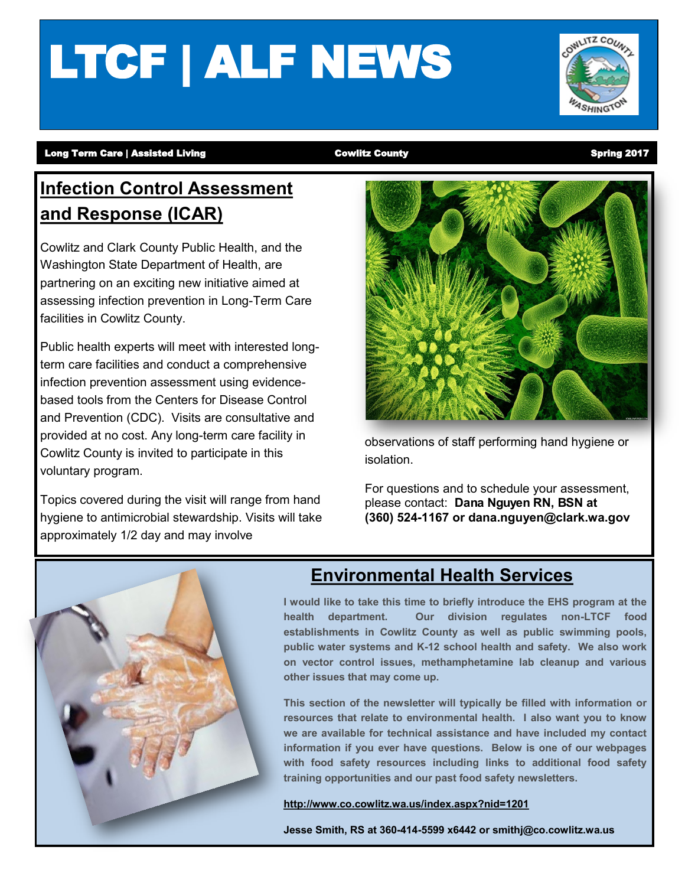# LTCF | ALF NEWS



#### Long Term Care | Assisted Living **Cowlitz County** Cowlitz County County Spring 2017

# **Infection Control Assessment and Response (ICAR)**

Cowlitz and Clark County Public Health, and the Washington State Department of Health, are partnering on an exciting new initiative aimed at assessing infection prevention in Long-Term Care facilities in Cowlitz County.

Public health experts will meet with interested longterm care facilities and conduct a comprehensive infection prevention assessment using evidencebased tools from the Centers for Disease Control and Prevention (CDC). Visits are consultative and provided at no cost. Any long-term care facility in Cowlitz County is invited to participate in this voluntary program.

Topics covered during the visit will range from hand hygiene to antimicrobial stewardship. Visits will take approximately 1/2 day and may involve



observations of staff performing hand hygiene or isolation.

For questions and to schedule your assessment, please contact: **Dana Nguyen RN, BSN at (360) 524-1167 or dana.nguyen@clark.wa.gov**



#### **Environmental Health Services**

**I would like to take this time to briefly introduce the EHS program at the health department. Our division regulates non-LTCF food establishments in Cowlitz County as well as public swimming pools, public water systems and K-12 school health and safety. We also work on vector control issues, methamphetamine lab cleanup and various other issues that may come up.** 

**This section of the newsletter will typically be filled with information or resources that relate to environmental health. I also want you to know we are available for technical assistance and have included my contact information if you ever have questions. Below is one of our webpages with food safety resources including links to additional food safety training opportunities and our past food safety newsletters.**

**<http://www.co.cowlitz.wa.us/index.aspx?nid=1201>**

**Jesse Smith, RS at 360-414-5599 x6442 or smithj@co.cowlitz.wa.us**